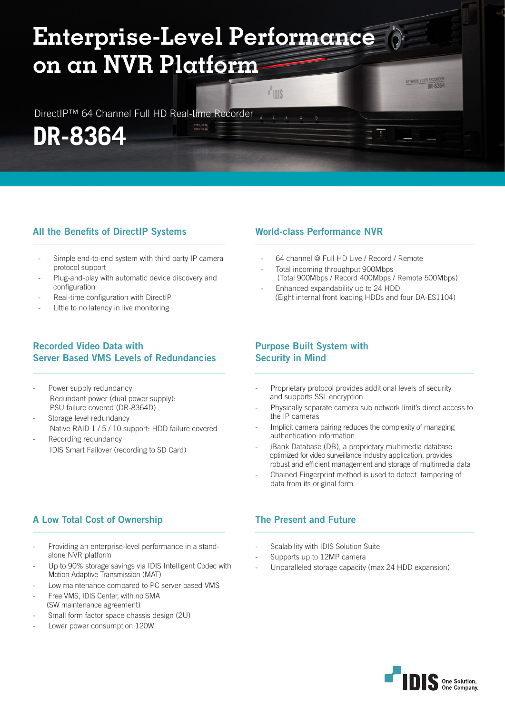# **Enterprise-Level Performance on an NVR Platform**

érényéne<br>Kabulhan

DirectIP™ 64 Channel Full HD Real-time Recorder

**DR-8364**

# All the Benefits of DirectIP Systems

- Simple end-to-end system with third party IP camera protocol support
- Plug-and-play with automatic device discovery and configuration
- Real-time configuration with DirectlP
- Little to no latency in live monitoring

# Recorded Video Data with Server Based VMS Levels of Redundancies

- Power supply redundancy Redundant power (dual power supply): PSU failure covered (DR-8364D)
- Storage level redundancy Native RAID 1 / 5 / 10 support: HDD failure covered Recording redundancy
- IDIS Smart Failover (recording to SD Card)

# A Low Total Cost of Ownership

- Providing an enterprise-level performance in a standalone NVR platform
- Up to 90% storage savings via IDIS Intelligent Codec with Motion Adaptive Transmission (MAT)
- Low maintenance compared to PC server based VMS
- Free VMS, IDIS Center, with no SMA (SW maintenance agreement)
- Small form factor space chassis design (2U)
- Lower power consumption 120W

## World-class Performance NVR

**Hois** 

- 64 channel @ Full HD Live / Record / Remote
- Total incoming throughput 900Mbps (Total 900Mbps / Record 400Mbps / Remote 500Mbps)

**DR-8364** 

- Enhanced expandability up to 24 HDD (Eight internal front loading HDDs and four DA-ES1104)

## Purpose Built System with Security in Mind

- Proprietary protocol provides additional levels of security and supports SSL encryption
- Physically separate camera sub network limit's direct access to the IP cameras
- Implicit camera pairing reduces the complexity of managing authentication information
- iBank Database (DB), a proprietary multimedia database optimized for video surveillance industry application, provides robust and efficient management and storage of multimedia data
- Chained Fingerprint method is used to detect tampering of data from its original form

# The Present and Future

- Scalability with IDIS Solution Suite
- Supports up to 12MP camera
- Unparalleled storage capacity (max 24 HDD expansion)